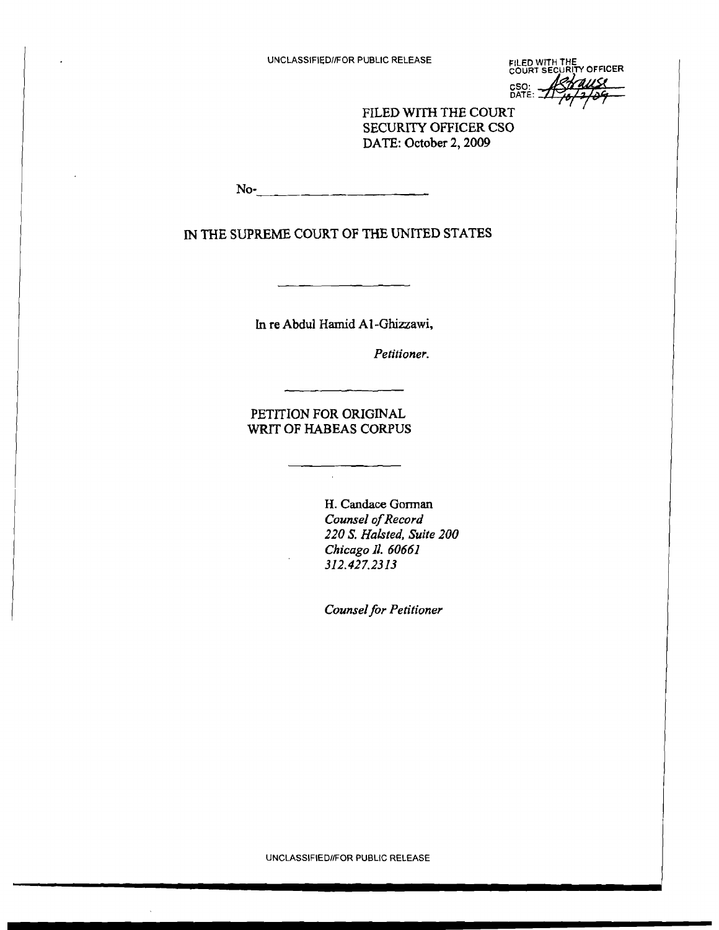FILED WITH THE<br>COURT SECURITY OFFICER CSO:<br>DATE:

FILED WITH THE COURT SECURITY OFFICER CSO DATE: October 2, 2009

No- . \_

IN THE SUPREME COURT OF THE UNITED STATES

In re Abdul Hamid AI-Ghizzawi,

*Petitioner.* 

### PETITION FOR ORIGINAL WRIT OF HABEAS CORPUS

 $\sim$ 

H. Candace Gorman **Counsel of Record** *220* S. *Halsted. Suite 200 Chicago II. 60661*  312.427.2313

*Counsel for Petitioner* 

UNCLASSIFIED//FOR PUBLIC RELEASE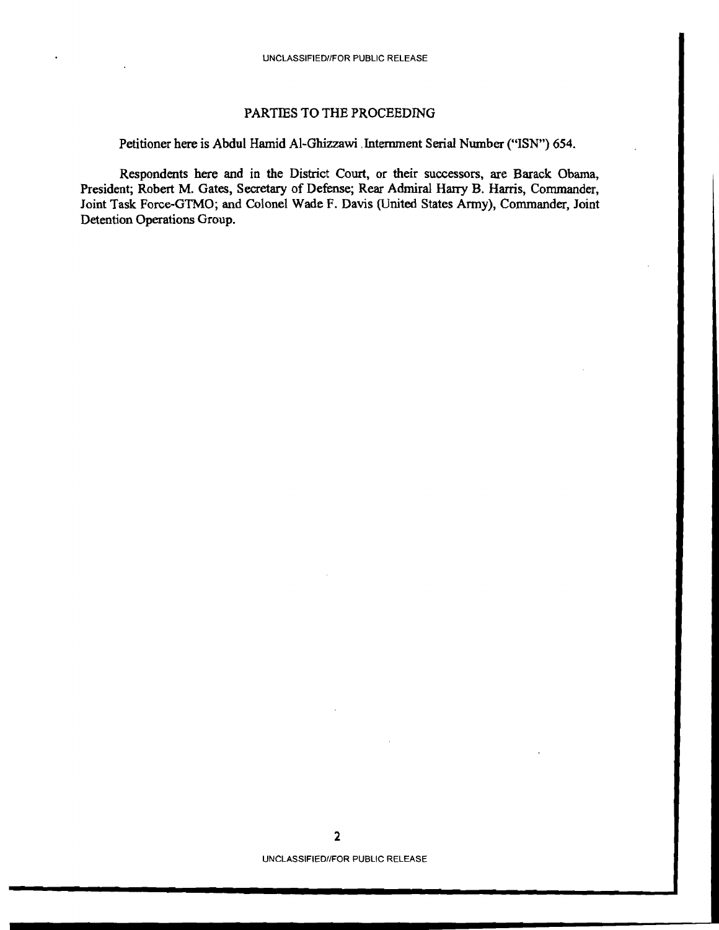## PARTIES TO THE PROCEEDING

#### Petitioner here is Abdul Hamid AI-Ghizzawi ,Internment Serial Number ("ISN") 654.

Respondents here and in the District Court, or their successors, are Barack Obama, President; Robert M. Gates, Secretary of Defense; Rear Admiral Harry B. Harris, Commander, Joint Task Force-GfMO; and Colonel Wade F. Davis (United States Army), Commander, Joint Detention Operations Group.

UNCLASSIFIEDIIFOR PUBLIC RELEASE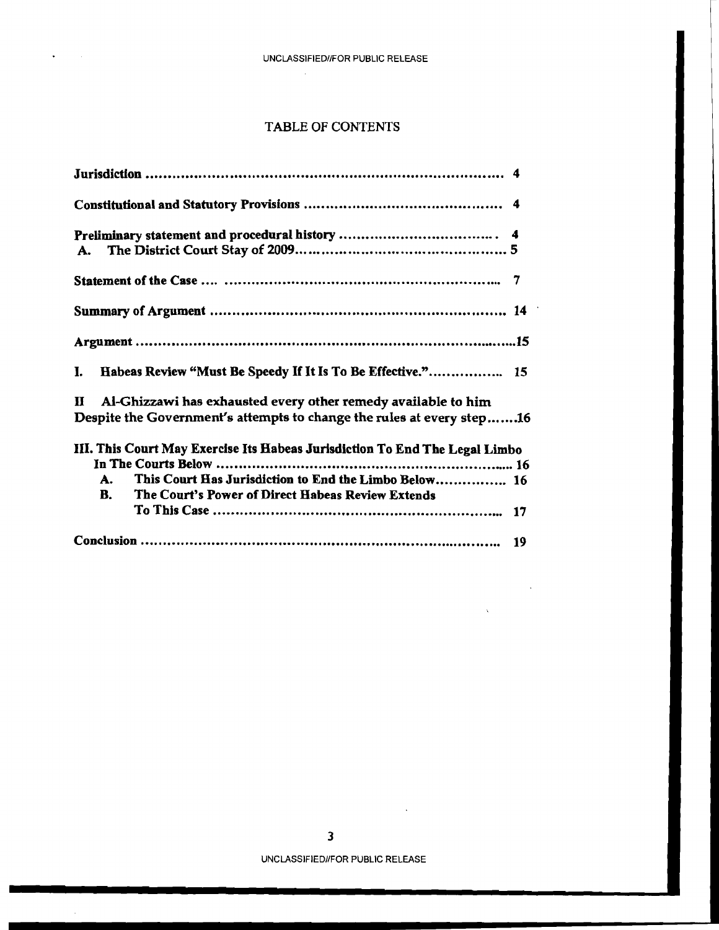$\bullet$  . <br> <br> <br> <br> <br> <br> <br> <br> <br> <br><br><br><br><br><br>

 $\sim 10$ 

# TABLE OF CONTENTS

 $\ddot{\phantom{a}}$ 

 $\mathcal{L}^{\text{max}}_{\text{max}}$  ,  $\mathcal{L}^{\text{max}}_{\text{max}}$ 

 $\Delta \sim 10^4$ 

 $\sim 10^7$ 

| <b>A.</b> |                                                                                                                                        |    |
|-----------|----------------------------------------------------------------------------------------------------------------------------------------|----|
|           |                                                                                                                                        |    |
|           |                                                                                                                                        |    |
|           |                                                                                                                                        |    |
| I.        | Habeas Review "Must Be Speedy If It Is To Be Effective." 15                                                                            |    |
| п         | Al-Ghizzawi has exhausted every other remedy available to him<br>Despite the Government's attempts to change the rules at every step16 |    |
|           | III. This Court May Exercise Its Habeas Jurisdiction To End The Legal Limbo                                                            |    |
| А.        | This Court Has Jurisdiction to End the Limbo Below 16                                                                                  |    |
| В.        | The Court's Power of Direct Habeas Review Extends                                                                                      |    |
|           |                                                                                                                                        | 19 |

UNCLASSIFIEDIIFOR PUBLIC RELEASE

 $\mathcal{L}^{\text{max}}(\mathbf{A})$  . The  $\mathcal{L}^{\text{max}}$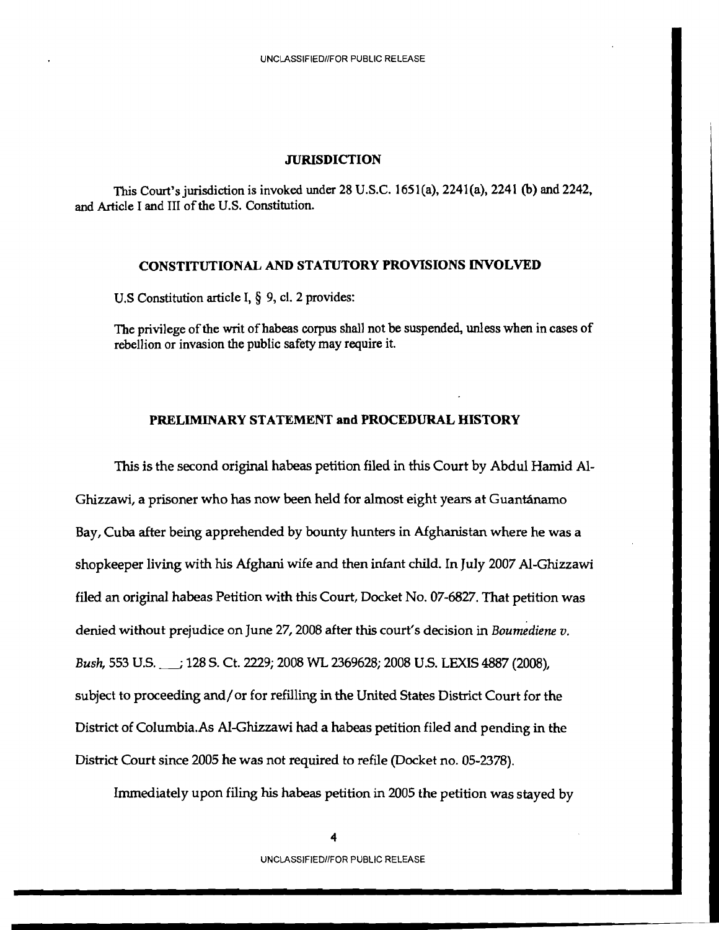### **JURISDICTION**

This Court's jurisdiction is invoked under 28 U.S.C. 1651(a), 2241{a), 2241 (b) and 2242, and Article I and III of the U.S. Constitution.

### **CONSTITUTIONAL AND STATUTORY PROVISIONS INVOLYED**

U.S Constitution article I, § 9, cl. 2 provides:

The privilege of the writ of habeas corpus shall not be suspended, unless when in cases of rebellion or invasion the public safety may require it.

#### **PRELIMINARY STATEMENT and PROCEDURAL HISTORY**

This is the second original habeas petition filed in this Court by Abdul Hamid AI-Ghizzawi, a prisoner who has now been held for almost eight years at Guantanamo Bay, Cuba after being apprehended by bounty hunters in Afghanistan where he was a shopkeeper living with his Afghani wife and then infant child. In July 2007 Al-Ghizzawi filed an original habeas Petition with this Court, Docket No. 07-6827. That petition was denied without prejudice on June 27, 2008 after this court's decision in *Boumediene v. Bush,* 553 U.S. 128 S. Ct. 2229; 2008 WL 2369628; 2008 U.S. LEXIS 4887 (2008), subject to proceeding and/or for refilling in the United States District Court for the District of Columbia.As Al-Ghizzawi had a habeas petition filed and pending in the District Court since 2005 he was not required to refile (Docket no. 05-2378).

Immediately upon filing his habeas petition in 2005 the petition was stayed by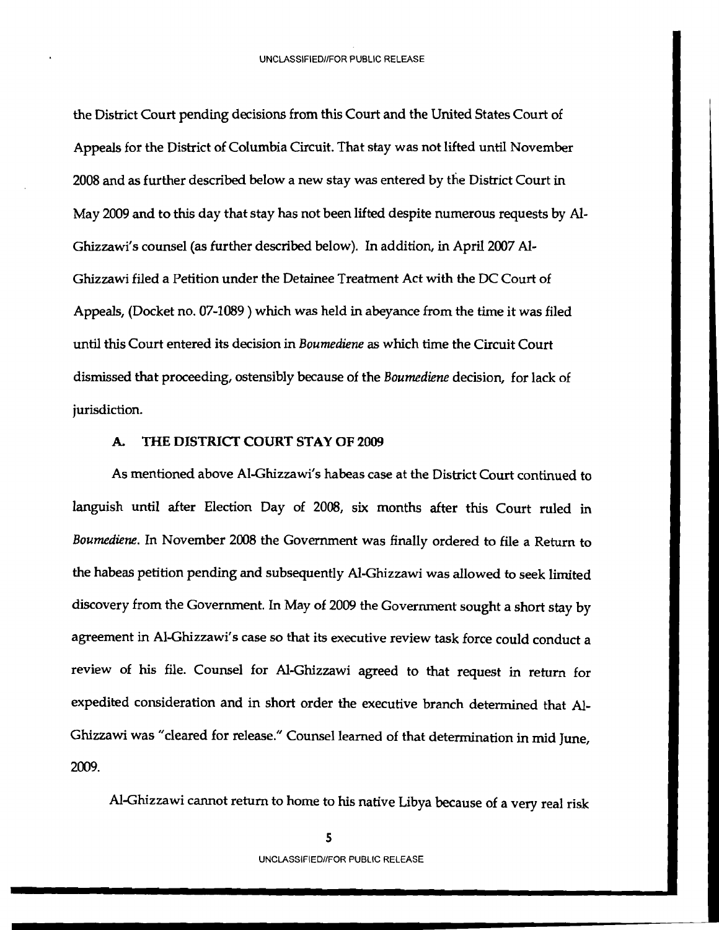the District Court pending decisions from this Court and the United States Court of Appeals for the District of Columbia Circuit. That stay was not lifted until November 2008 and as further described below a new stay was entered by the District Court in May 2009 and to this day that stay has not been lifted despite numerous requests by AI-Ghizzawi's counsel (as further described below). In addition, in April 2007 AI-Ghizzawi filed a Petition under the Detainee Treatment Act with the DC Court of Appeals, (Docket no. 07-1089) which was held in abeyance from the time it was filed until this Court entered its decision in *Boumediene* as which time the Circuit Court dismissed that proceeding, ostensibly because of the *Boumediene* decision, for lack of jurisdiction.

#### A. THE DISTRICT COURT STAY OF 2009

As mentioned above AI-Ghizzawi's habeas case at the District Court continued to languish until after Election Day of 2008, six months after this Court ruled in *Boumediene.* In November 2008 the Government was finally ordered to file a Return to the habeas petition pending and subsequently AI-Ghizzawi was allowed to seek limited discovery from the Government. In May of 2009 the Government sought a short stay by agreement in AI-Ghizzawi's case so that its executive review task force could conduct a review of his file. Counsel for AI-Ghizzawi agreed to that request in return for expedited consideration and in short order the executive branch determined that AI-Ghizzawi was "cleared for release." Counsel learned of that determination in mid June, 2009.

Al-Ghizzawi cannot return to home to his native Libya because of a very real risk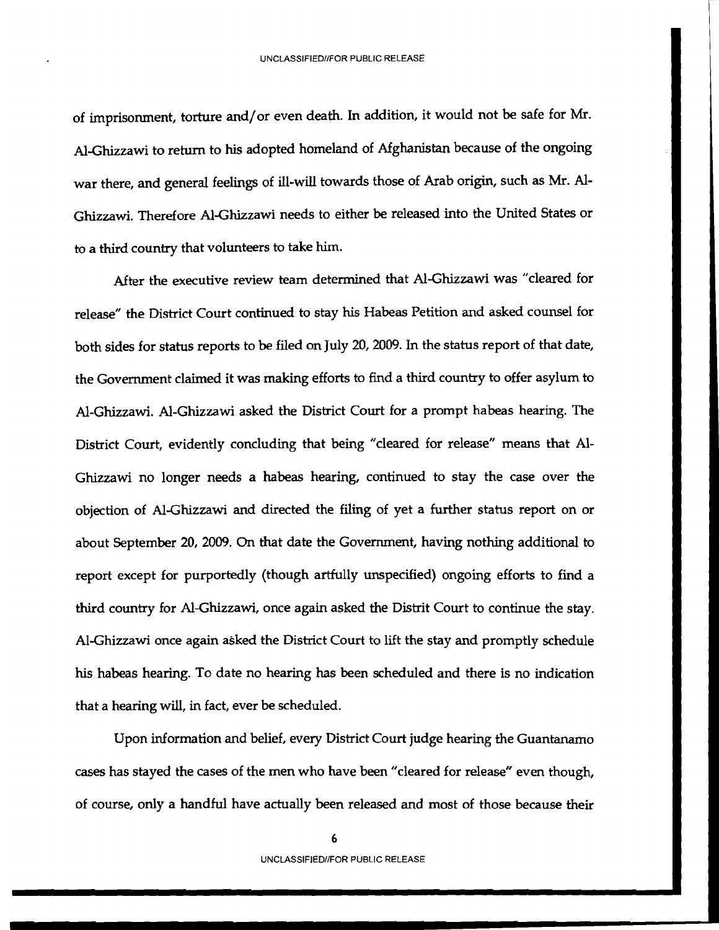of imprisonment, torture and/or even death. In addition, it would not be safe for Mr. Al-Ghizzawi to return to his adopted homeland of Afghanistan because of the ongoing war there, and general feelings of ill-will towards those of Arab origin, such as Mr. Al-Ghizzawi. Therefore AI-Ghizzawi needs to either be released into the United States or to a third country that volunteers to take him.

After the executive review team determined that Al-Ghizzawi was "cleared for release" the District Court continued to stay his Habeas Petition and asked counsel for both sides for status reports to be filed on July 20, 2009. In the status report of that date, the Government claimed it was making efforts to find a third country to offer asylum to Al-Ghizzawi. Al-Ghizzawi asked the District Court for a prompt habeas hearing. The District Court, evidently concluding that being "cleared for release" means that Al-Ghizzawi no longer needs a habeas hearing, continued to stay the case over the objection of Al-Ghizzawi and directed the filing of yet a further status report on or about September 20,2009. On that date the Government, having nothing additional to report except for purportedly (though artfully unspecified) ongoing efforts to find a third country for Al-Ghizzawi, once again asked the Distrit Court to continue the stay. Al-Ghizzawi once again asked the District Court to lift the stay and promptly schedule his habeas hearing. To date no hearing has been scheduled and there is no indication that a hearing will, in fact, ever be scheduled.

Upon information and belief, every District Court judge hearing the Guantanamo cases has stayed the cases of the men who have been "cleared for release" even though, of course, only a handful have actually been released and most of those because their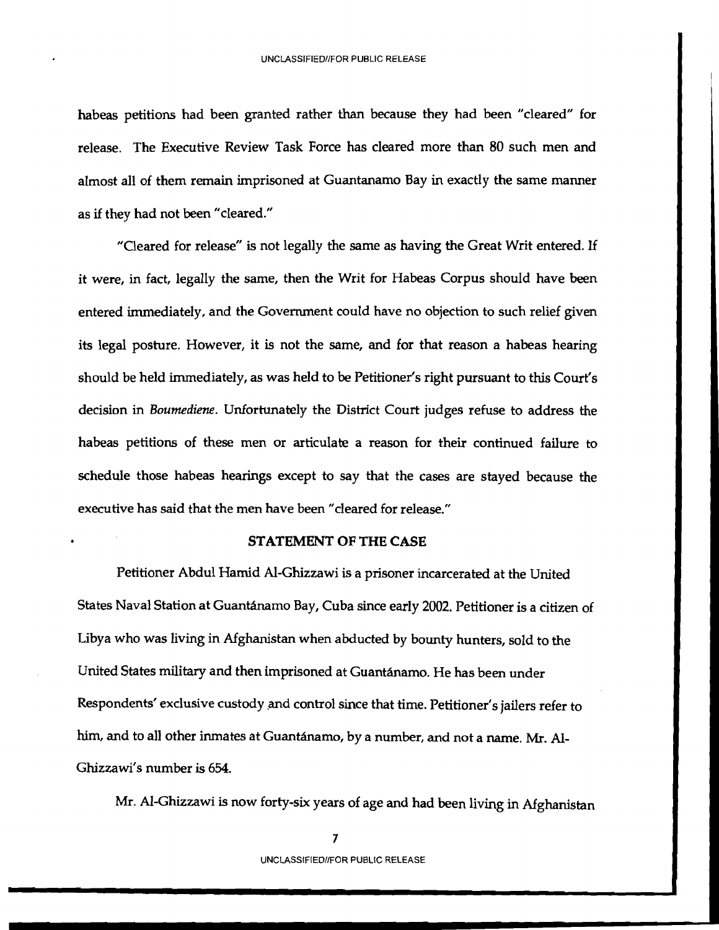habeas petitions had been granted rather than because they had been "cleared" for release. The Executive Review Task Force has cleared more than 80 such men and almost all of them remain imprisoned at Guantanamo Bay in exactly the same manner as if they had not been "cleared."

"Cleared for release" is not legally the same as having the Great Writ entered. If it were, in fact, legally the same, then the Writ for Habeas Corpus should have been entered immediately, and the Government could have no objection to such relief given its legal posture. However, it is not the same, and for that reason a habeas hearing should be held immediately, as was held to be Petitioner's right pursuant to this Court's decision in *Boumediene.* Unfortunately the District Court judges refuse to address the habeas petitions of these men or articulate a reason for their continued failure to schedule those habeas hearings except to say that the cases are stayed because the executive has said that the men have been "cleared for release."

#### STATEMENT OF THE CASE

Petitioner Abdul Hamid Al-Ghizzawi is a prisoner incarcerated at the United States Naval Station at Guantánamo Bay, Cuba since early 2002. Petitioner is a citizen of Libya who was living in Afghanistan when abducted by bounty hunters, sold to the United States military and then imprisoned at Guantanamo. He has been under Respondents' exclusive custody and control since that time. Petitioner's jailers refer to him, and to all other inmates at Guantanamo, by a number, and not a name. Mr. Al-Ghizzawi's number is 654.

Mr. Al-Ghizzawi is now forty-six years of age and had been living in Afghanistan

UNCLASSIFIEDIIFOR PUBLIC RELEASE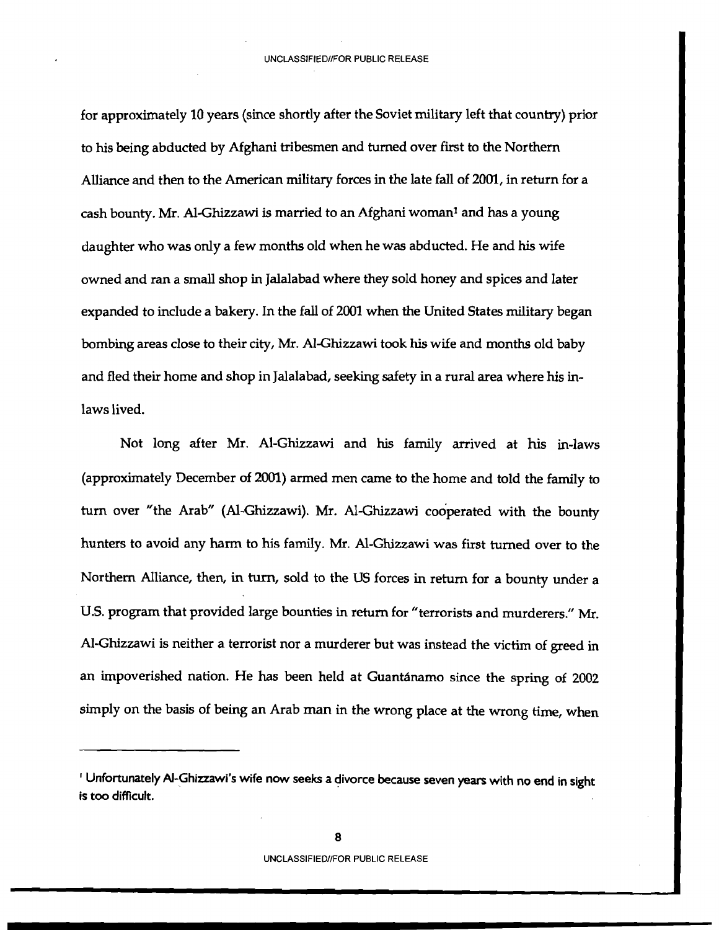for approximately 10 years (since shortly after the Soviet military left that country) prior to his being abducted by Mghani tribesmen and turned over first to the Northern Alliance and then to the American military forces in the late fall of 2001, in return for a cash bounty. Mr. Al-Ghizzawi is married to an Afghani woman<sup>1</sup> and has a young daughter who was only a few months old when he was abducted. He and his wife owned and ran a small shop in Jalalabad where they sold honey and spices and later expanded to include a bakery. In the fall of 2001 when the United States military began bombing areas close to their city, Mr. AI-Ghizzawi took his wife and months old baby and fled their home and shop in Jalalabad, seeking safety in a rural area where his inlaws lived.

Not long after Mr. AI-Ghizzawi and his family arrived at his in-laws (approximately December of 2001) armed men came to the home and told the family to turn over "the Arab" (Al-Ghizzawi). Mr. Al-Ghizzawi cooperated with the bounty hunters to avoid any harm to his family. Mr. Al-Ghizzawi was first turned over to the Northern Alliance, then, in turn, sold to the US forces in return for a bounty under a U.s. program that provided large bounties in return for "terrorists and murderers." Mr. AI-Ghizzawi is neither a terrorist nor a murderer but was instead the victim of greed in an impoverished nation. He has been held at Guantanamo since the spring of 2002 simply on the basis of being an Arab man in the wrong place at the wrong time, when

UNCLASSIFIED//FOR PUBLIC RELEASE

I Unfortunately AI-Ghizzawi's wife now seeks a divorce because seven years with no end in sight is too difficult.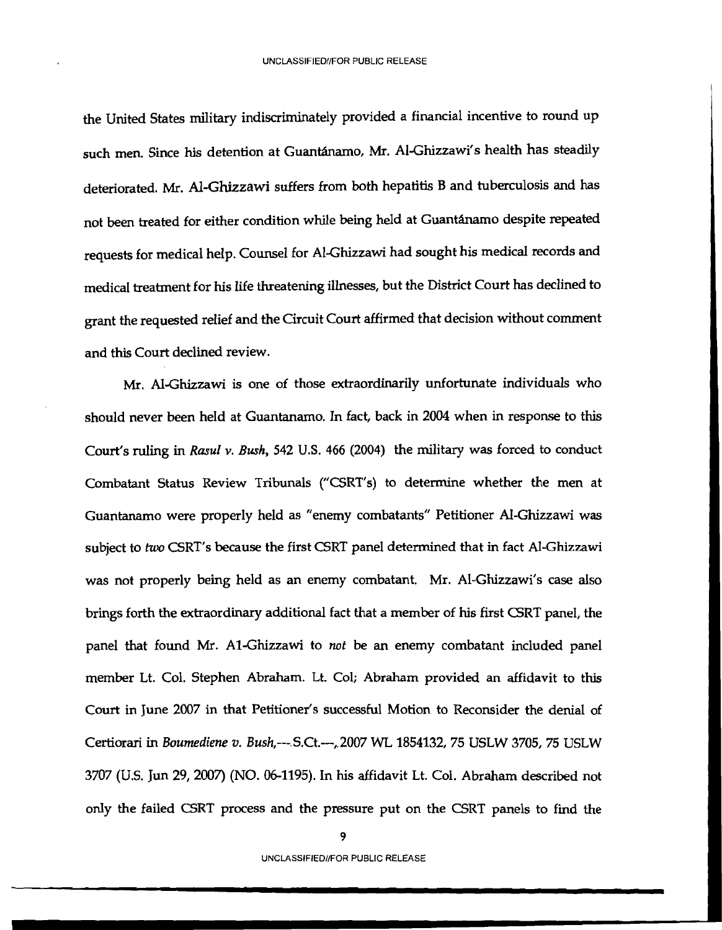the United States military indiscriminately provided a financial incentive to round up such men. Since his detention at Guantanarno, Mr. AI-Ghizzawi's health has steadily deteriorated. Mr. Al-Ghizzawi suffers from both hepatitis B and tuberculosis and has not been treated for either condition while being held at Guantanamo despite repeated requests for medical help. Counsel for AI-Ghizzawi had sought his medical records and medical treatment for his life threatening illnesses, but the District Court has declined to grant the requested relief and the Circuit Court affirmed that decision without comment and this Court declined review.

Mr. Al-Ghizzawi is one of those extraordinarily unfortunate individuals who should never been held at Guantanamo. In fact, back in 2004 when in response to this Court's ruling in *Rasul v. Bush,* 542 U.S. 466 (2004) the military was forced to conduct Combatant Status Review Tribunals ("CSRT's) to determine whether the men at Guantanamo were properly held as "enemy combatants" Petitioner Al-Ghizzawi was subject to *two* CSRT's because the first CSRT panel determined that in fact AI-Ghizzawi was not properly being held as an enemy combatant. Mr. AI-Ghizzawi's case also brings forth the extraordinary additional fact that a member of his first CSRT panel, the panel that found Mr. AI-Ghizzawi to *not* be an enemy combatant included panel member Lt. Col. Stephen Abraham. Lt. Col; Abraham provided an affidavit to this Court in June 2007 in that Petitioner's successful Motion to Reconsider the denial of Certiorari in *Boumediene v. Bush,---.S.Ct.--,,2007* WL 1854132, 75 USLW 3705, 75 USLW 3707 (U.S. Jun 29,2007) (NO. 06-1195). In his affidavit Lt. Col. Abraham described not only the failed CSRT process and the pressure put on the CSRT panels to find the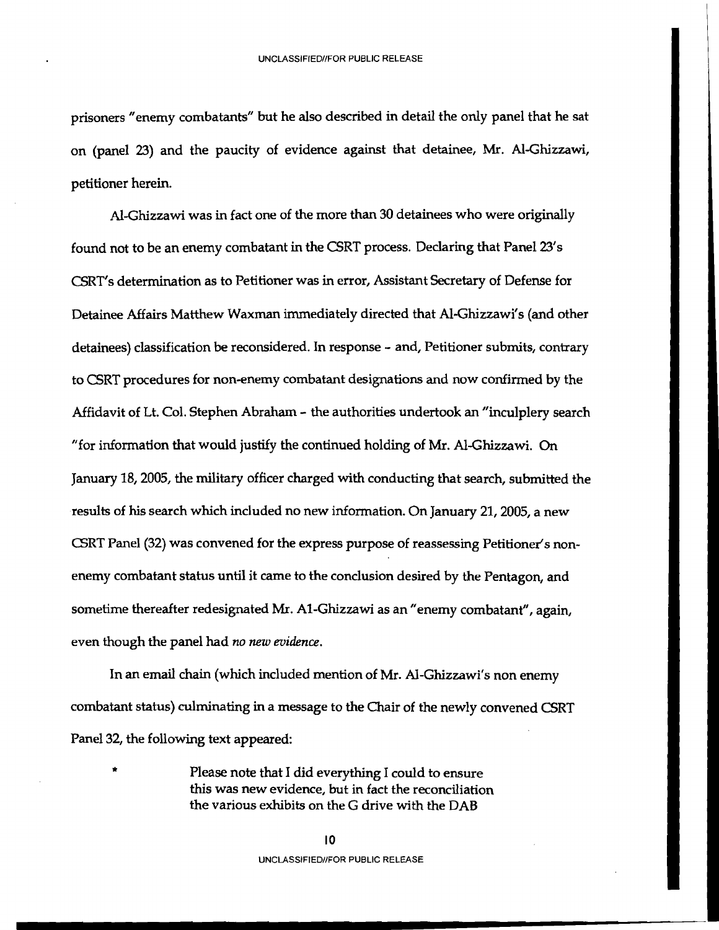prisoners"enemy combatants" but he also described in detail the only panel that he sat on (panel 23) and the paucity of evidence against that detainee, Mr. Al-Ghizzawi, petitioner herein.

Al-Ghizzawi was in fact one of the more than 30 detainees who were originally found not to be an enemy combatant in the CSRT process. Declaring that Panel 23's CSRT's determination as to Petitioner was in error, Assistant Secretary of Defense for Detainee Affairs Matthew Waxman immediately directed that Al-Ghizzawi's (and other detainees) classification be reconsidered. In response - and, Petitioner submits, contrary to CSRT procedures for non-enemy combatant designations and now confirmed by the Affidavit of Lt. Col. Stephen Abraham - the authorities undertook an "inculplery search "for information that would justify the continued holding of Mr. Al-Ghizzawi. On January 18,2005, the military officer charged with conducting that search, submitted the results of his search which included no new information. On January 21, 2005, a new CSRT Panel (32) was convened for the express purpose of reassessing Petitioner's nonenemy combatant status until it came to the conclusion desired by the Pentagon, and sometime thereafter redesignated Mr. A1-Ghizzawi as an "enemy combatant", again, even though the panel had *no new evidence.* 

In an email chain (which included mention of Mr. Al-Ghizzawi's non enemy combatant status) culminating in a message to the Chair of the newly convened CSRT Panel 32, the following text appeared:

> Please note that I did everything I could to ensure this was new evidence, but in fact the reconciliation the various exhibits on the G drive with the DAB

UNCLASSIFIEDIIFOR PUBLIC RELEASE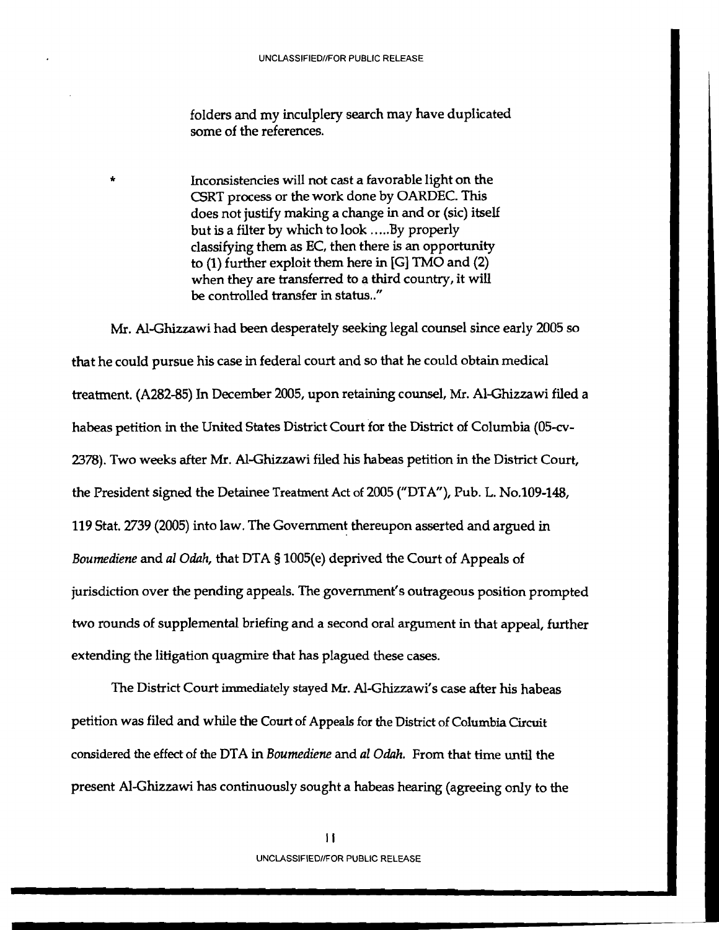folders and my inculplery search may have duplicated some of the references.

Inconsistencies will not cast a favorable light on the \* CSRT process or the work done by OARDEC. This does not justify making a change in and or (sic) itself but is a filter by which to look .....By properly classifying them as EC, then there is an opportunity to (1) further exploit them here in [G] TMO and (2) when they are transferred to a third country, it will be controlled transfer in status.."

Mr. Al-Ghizzawi had been desperately seeking legal counsel since early 2005 so that he could pursue his case in federal court and so that he could obtain medical treatment. (A282-85) In December 2005, upon retaining counsel, Mr. AI-Ghizzawi filed a habeas petition in the United States District Court for the District of Columbia (05-cv-2378). Two weeks after Mr. Al-Ghizzawi filed his habeas petition in the District Court, the President signed the Detainee Treatment Act of 2005 ("DTA"), Pub. L. No.109-148, 119 Stat. 2739 (2005) into law. The Government thereupon asserted and argued in *Boumediene* and *al Odah,* that DTA § 1005(e) deprived the Court of Appeals of jurisdiction over the pending appeals. The government's outrageous position prompted two rounds of supplemental briefing and a second oral argument in that appeal, further extending the litigation quagmire that has plagued these cases.

The District Court immediately stayed Mr. Al-Ghizzawi's case after his habeas petition was filed and while the Court of Appeals for the District of Columbia Circuit considered the effect of the DTA in *Boumediene* and *al Odah.* From that time until the present AI-Ghizzawi has continuously sought a habeas hearing (agreeing only to the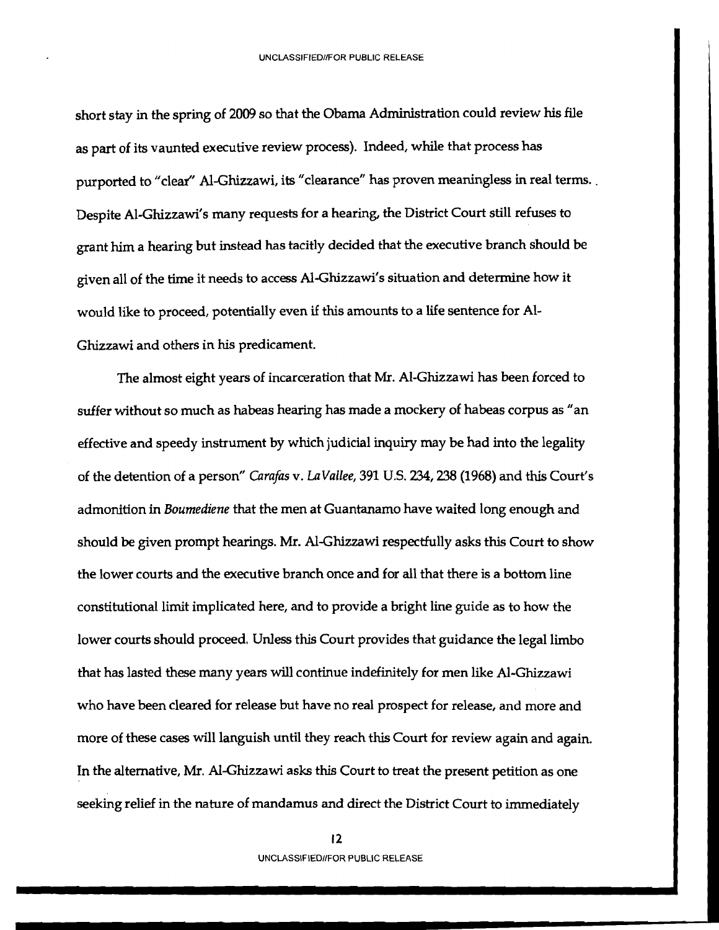short stay in the spring of 2009 so that the Obama Administration could review his file as part of its vaunted executive review process). Indeed, while that process has purported to "clear" Al-Ghizzawi, its "clearance" has proven meaningless in real terms. Despite AI-Ghizzawi's many requests for a hearing, the District Court still refuses to grant him a hearing but instead has tacitly decided that the executive branch should be given all of the time it needs to access Al-Ghizzawi's situation and detennine how it would like to proceed, potentially even if this amounts to a life sentence for AI-Ghizzawi and others in his predicament.

The almost eight years of incarceration that Mr. AI-Ghizzawi has been forced to suffer without so much as habeas hearing has made a mockery of habeas corpus as "an effective and speedy instrument by which judicial inquiry may be had into the legality of the detention of a person" *Carafas* v. *LaVallee,* 391 U.S. 234, 238 (1968) and this Court's admonition in *Boumediene* that the men at Guantanamo have waited long enough and should be given prompt hearings. Mr. Al-Ghizzawi respectfully asks this Court to show the lower courts and the executive branch once and for all that there is a bottom line constitutional limit implicated here, and to provide a bright line guide as to how the lower courts should proceed. Unless this Court provides that guidance the legal limbo that has lasted these many years will continue indefinitely for men like Al-Ghizzawi who have been cleared for release but have no real prospect for release, and more and more of these cases will languish until they reach this Court for review again and again. In the alternative, Mr. Al-Ghizzawi asks this Court to treat the present petition as one seeking relief in the nature of mandamus and direct the District Court to immediately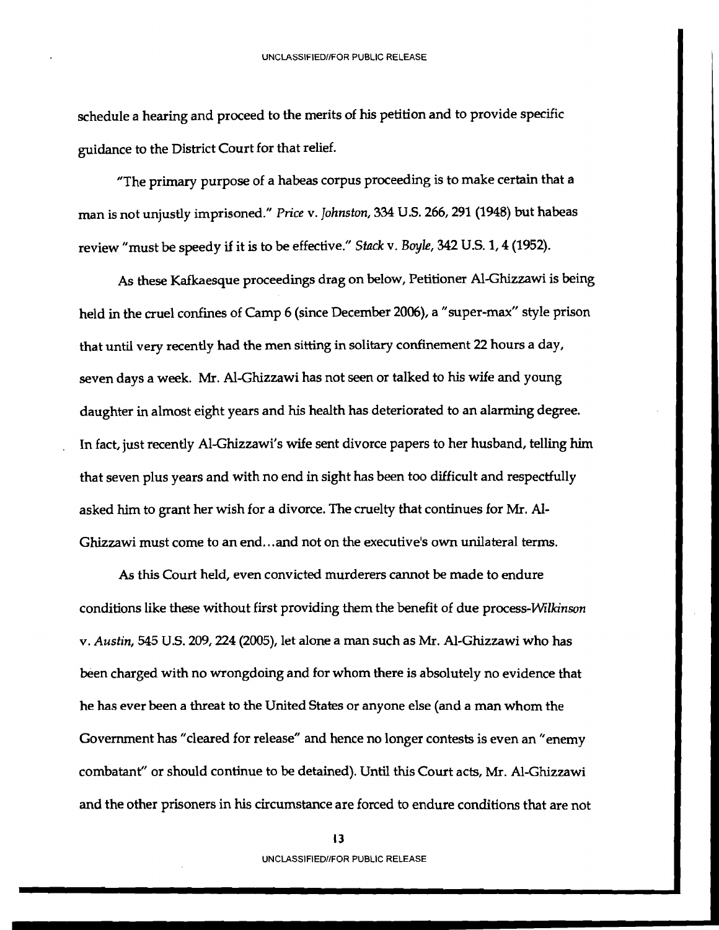schedule a hearing and proceed to the merits of his petition and to provide specific guidance to the District Court for that relief.

"The primary purpose of a habeas corpus proceeding is to make certain that a man is not unjustly imprisoned." *Price* v. *Johnston,* 334 U.S. 266, 291 (1948) but habeas review "must be speedy if it is to be effective." *Stack* v. *Boyle,* 342 U.S. 1,4 (1952).

As these Kafkaesque proceedings drag on below, Petitioner Al-Ghizzawi is being held in the cruel confines of Camp 6 (since December 2006), a "super-max" style prison that until very recently had the men sitting in solitary confinement 22 hours a day, seven days a week. Mr. Al-Ghizzawi has not seen or talked to his wife and young daughter in almost eight years and his health has deteriorated to an alarming degree. In fact, just recently AI-Ghizzawi's wife sent divorce papers to her husband, telling him that seven plus years and with no end in sight has been too difficult and respectfully asked him to grant her wish for a divorce. The cruelty that continues for Mr. AI-Ghizzawi must come to an end...and not on the executive's own unilateral terms.

*As* this Court held, even convicted murderers cannot be made to endure conditions like these without first providing them the benefit of due *process-Wilkinson*  v. *Austin,* 545 U.S. 209, 224 (2005), let alone a man such as Mr. AI-Ghizzawi who has been charged with no wrongdoing and for whom there is absolutely no evidence that he has ever been a threat to the United States or anyone else (and a man whom the Government has"cleared for release" and hence no longer contests is even an "enemy combatant" or should continue to be detained). Until this Court acts, Mr. AI-Ghizzawi and the other prisoners in his circumstance are forced to endure conditions that are not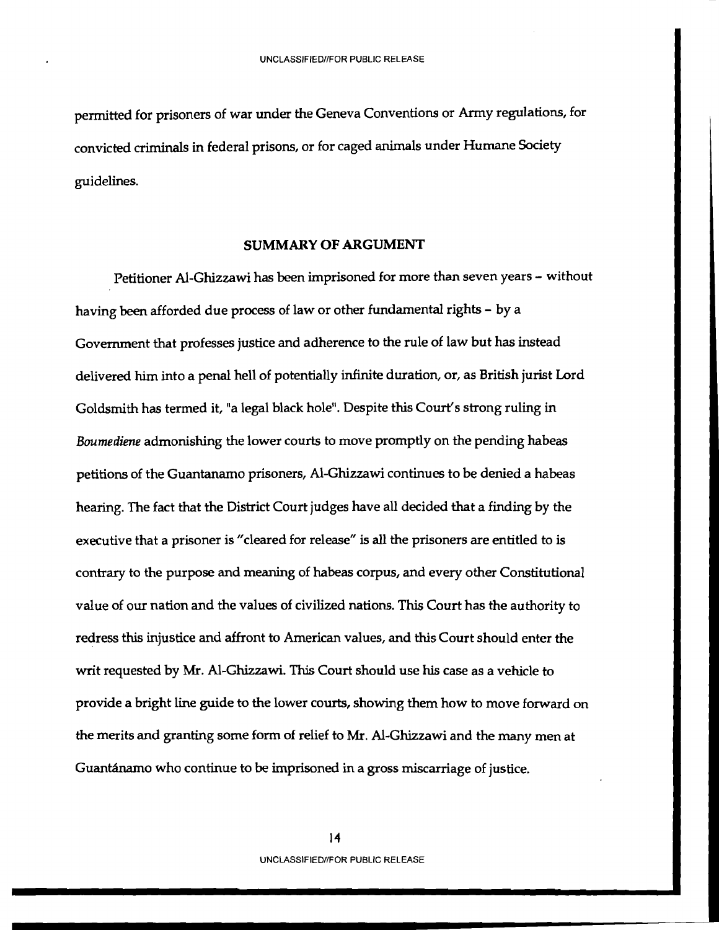permitted for prisoners of war under the Geneva Conventions or Army regulations, for convicted criminals in federal prisons, or for caged animals under Humane Society guidelines.

#### SUMMARY OF ARGUMENT

Petitioner Al-Ghizzawi has been imprisoned for more than seven years - without having been afforded due process of law or other fundamental rights - by a Government that professes justice and adherence to the rule of law but has instead delivered him into a penal hell of potentially infinite duration, or, as British jurist Lord Goldsmith has termed it, "a legal black hole". Despite this Court's strong ruling in *Boumediene* admonishing the lower courts to move promptly on the pending habeas petitions of the Guantanamo prisoners, AI-Ghizzawi continues to be denied a habeas hearing. The fact that the District Court judges have all decided that a finding by the executive that a prisoner is "cleared for release" is all the prisoners are entitled to is contrary to the purpose and meaning of habeas corpus, and every other Constitutional value of our nation and the values of civilized nations. This Court has the authority to redress this injustice and affront to American values, and this Court should enter the writ requested by Mr. AI-Ghizzawi. This Court should use his case as a vehicle to provide a bright line guide to the lower courts, showing them how to move forward on the merits and granting some form of relief to Mr. Al-Ghizzawi and the many men at Guantanamo who continue to be imprisoned in a gross miscarriage of justice.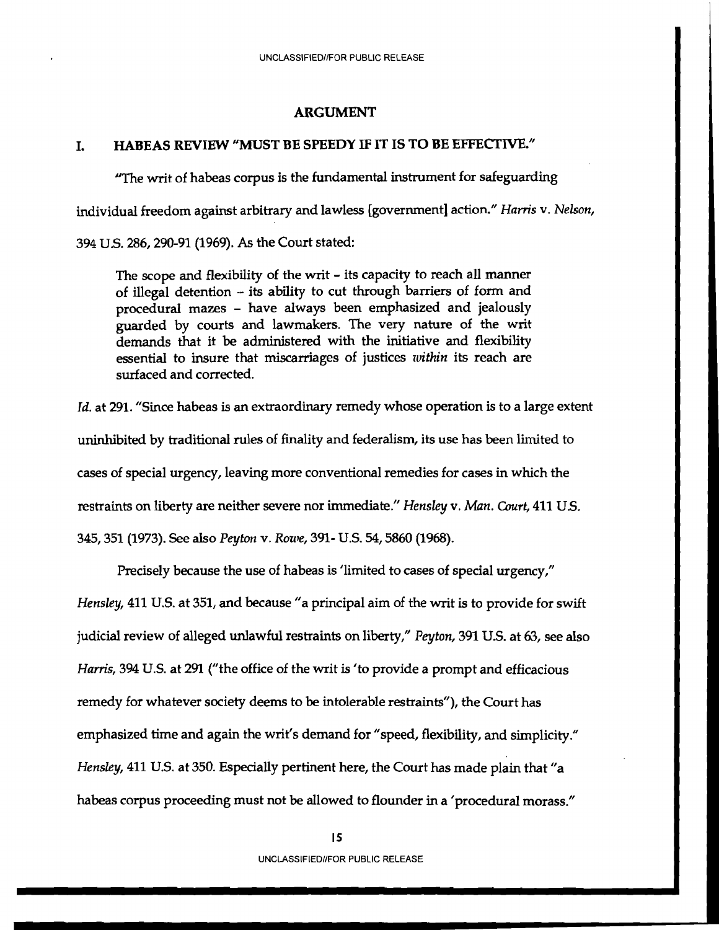#### ARGUMENT

## I. HABEAS REVIEW "MUST BE SPEEDY IF IT IS TO BE EFFECTIVE."

*liThe* writ of habeas corpus is the fundamental instrument for safeguarding

individual freedom against arbitrary and lawless [government] action." *Harris* v. *Nelson,* 

394 U.S. 286, 290-91 (1969). As the Court stated:

The scope and flexibility of the writ - its capacity to reach all manner of illegal detention - its ability to cut through barriers of form and procedural mazes - have always been emphasized and jealously guarded by courts and lawmakers. The very nature of the writ demands that it be administered with the initiative and flexibility essential to insure that miscarriages of justices *within* its reach are surfaced and corrected.

*Id.* at 291. "Since habeas is an extraordinary remedy whose operation is to a large extent uninhibited by traditional rules of finality and federalism, its use has been limited to cases of special urgency, leaVing more conventional remedies for cases in which the restraints on liberty are neither severe nor immediate." *Hensley* v. *Man. Court,* 411 US. 345,351 (1973). See also *Peyton* v. *Rowe,* 391- U.S. 54,5860 (1968).

Precisely because the use of habeas is 'limited to cases of special urgency," *Hensley,* 411 U.S. at 351, and because "a principal aim of the writ is to provide for swift judicial review of alleged unlawful restraints on liberty," *Peyton,* 391 U.S. at 63, see also *Harris,* 394 U.S. at 291 ("the office of the writ is 'to provide a prompt and efficacious remedy for whatever society deems to be intolerable restraints"), the Court has emphasized time and again the writ's demand for "speed, flexibility, and simplicity." *Hensley,* 411 U.S. at 350. Especially pertinent here, the Court has made plain that"a habeas corpus proceeding must not be allowed to flounder in a 'procedural morass."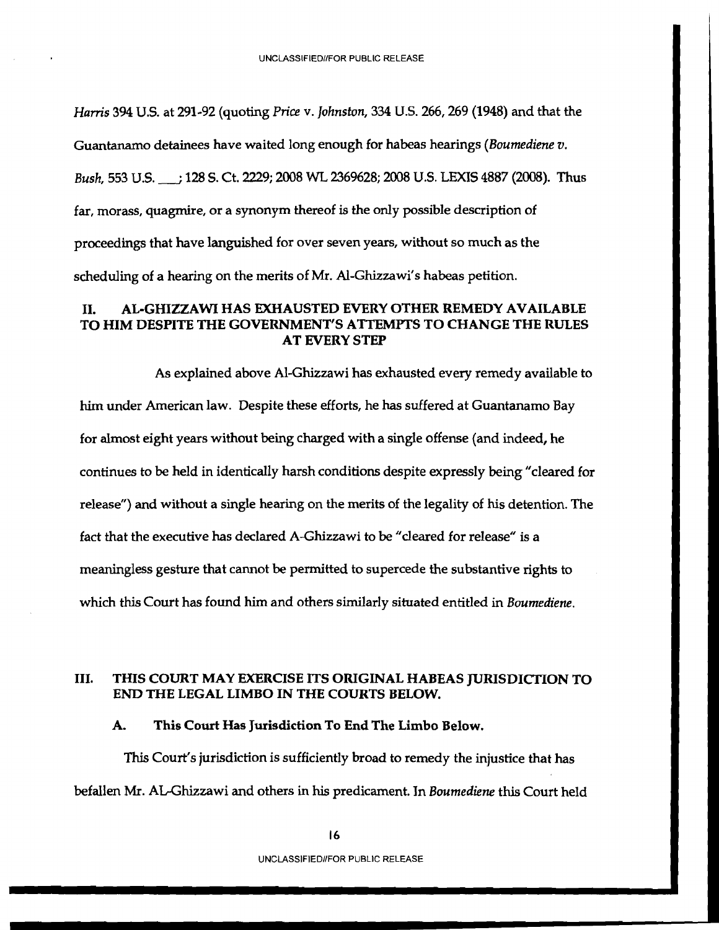*Harris* 394 U.S. at 291-92 (quoting *Price* v. *Johnston,* 334 U.S. 266,269 (1948) and that the Guantanamo detainees have waited long enough for habeas hearings *(Boumediene v. Bush,* 553 U.S. \_\_; 128 S. Ct. 2229; 2008 WL 2369628; 2008 U.S. LEXIS 4887 (2008). Thus far, morass, quagmire, or a synonym thereof is the only possible description of proceedings that have languished for over seven years, without so much as the scheduling of a hearing on the merits of Mr. Al-Ghizzawi's habeas petition.

## II. AL-GHIZZAWI HAS EXHAUSTED EVERY OTHER REMEDY AVAILABLE TO HIM DESPITE THE GOVERNMENT'S ATTEMPTS TO CHANGE THE RULES AT EVERY STEP

As explained above Al-Ghizzawi has exhausted every remedy available to him under American law. Despite these efforts, he has suffered at Guantanamo Bay for almost eight years without being charged with a single offense (and indeed, he continues to be held in identically harsh conditions despite expressly being "cleared for release") and without a single hearing on the merits of the legality of his detention. The fact that the executive has declared A-Ghizzawi to be "cleared for release" is a meaningless gesture that cannot be permitted to supercede the substantive rights to which this Court has found him and others similarly situated entitled in *Boumediene.* 

## III. THIS COURT MAY EXERCISE ITS ORIGINAL HABEAS JURISDICTION TO END THE LEGAL LIMBO IN THE COURTS BELOW.

#### A. This Court Has Jurisdiction To End The Limbo Below.

This Court's jurisdiction is sufficiently broad to remedy the injustice that has befallen Mr. AL-Ghizzawi and others in his predicament. In *Boumediene* this Court held

UNCLASSIFIEDIIFOR PUBLIC RELEASE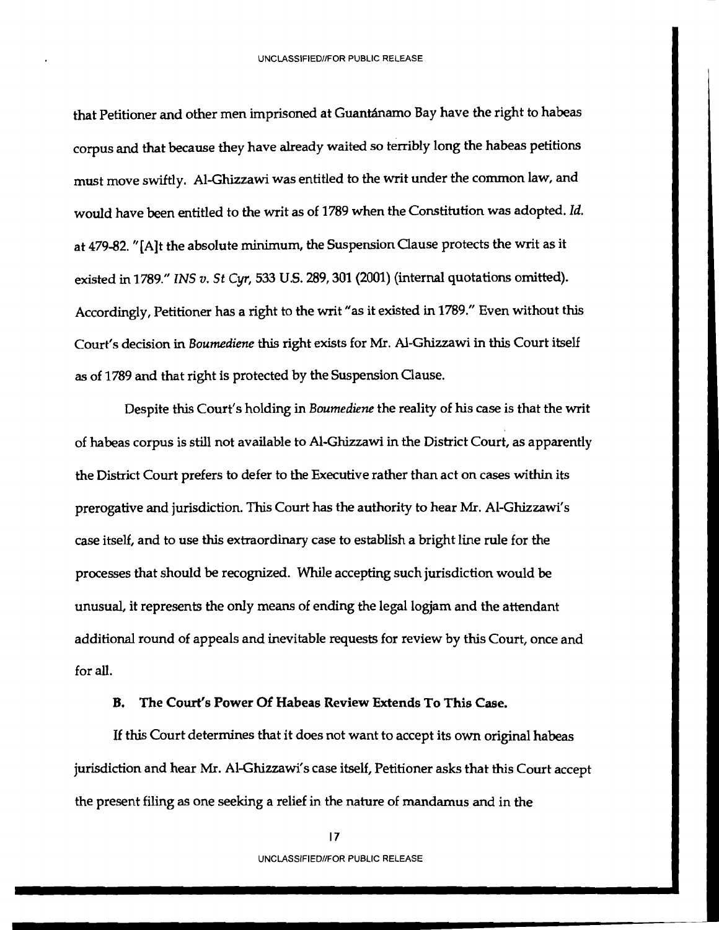that Petitioner and other men imprisoned at Guantanamo Bay have the right to habeas corpus and that because they have already waited so terribly long the habeas petitions must move swiftly. AI-Ghizzawi was entitled to the writ under the conunon law, and would have been entitled to the writ as of 1789 when the Constitution was adopted. [d. at 479-82. "[A]t the absolute minimum, the Suspension Gause protects the writ as it existed in 1789." *INS v.* Sf *Cyr,* 533 U.s. 289,301 (2001) (internal quotations omitted). Accordingly, Petitioner has a right to the writ "as it existed in 1789." Even without this Court's decision in *Boumediene* this right exists for Mr. Al-Ghizzawi in this Court itself as of 1789 and that right is protected by the Suspension Gause.

Despite this Court's holding in *Boumediene* the reality of his case is that the writ of habeas corpus is still not available to AI-Ghizzawi in the District Court, as apparently the District Court prefers to defer to the Executive rather than act on cases within its prerogative and jurisdiction. This Court has the authority to hear Mr. AI-Ghizzawi's case itself, and to use this extraordinary case to establish a bright line rule for the processes that should be recognized. While accepting such jurisdiction would be unusual, it represents the only means of ending the legal logjam and the attendant additional round of appeals and inevitable requests for review by this Court, once and for all.

## B. The Court's Power Of Habeas Review Extends To This Case.

If this Court determines that it does not want to accept its own original habeas jurisdiction and hear Mr. AI-Ghizzawi's case itself, Petitioner asks that this Court accept the present filing as one seeking a relief in the nature of mandamus and in the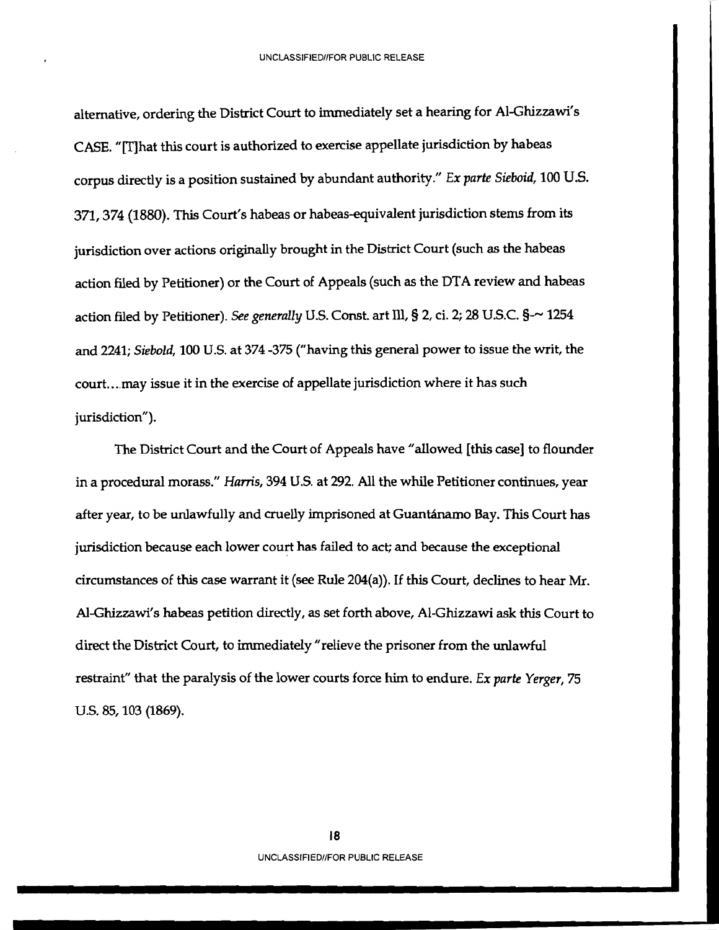alternative, ordering the District Court to immediately set a hearing for AI-Ghizzawi's CASE. "[T]hat this court is authorized to exercise appellate jurisdiction by habeas corpus directly is a position sustained by abundant authority." *Ex parte Sieboid,* 100 U.S. 371,374 (1880). This Court's habeas or habeas-equivalent jurisdiction stems from its jurisdiction over actions originally brought in the District Court (such as the habeas action filed by Petitioner) or the Court of Appeals (such as the DTA review and habeas action filed by Petitioner). *See generally* U.S. Const. art Ill, § 2, ci. 2; 28 U.S.C. §-~ 1254 and 2241; *Siebold,* 100 U.S. at 374 -375 ("having this general power to issue the writ, the court. ...may issue it in the exercise of appellate jurisdiction where it has such jurisdiction").

The District Court and the Court of Appeals have"allowed [this case] to flounder in a procedural morass." *Harris,* 394 U.S. at 292. All the while Petitioner continues, year after year, to be unlawfully and cruelly imprisoned at Guantanamo Bay. This Court has jurisdiction because each lower court has failed to act; and because the exceptional circumstances of this case warrant it (see Rule 204(a). If this Court, declines to hear Mr. Al-Ghizzawi's habeas petition directly, as set forth above, AI-Ghizzawi ask this Court to direct the District Court, to immediately "relieve the prisoner from the unlawful restraint" that the paralysis of the lower courts force him to endure. *Ex parte Yerger, 75*  U.S. 85, 103 (1869).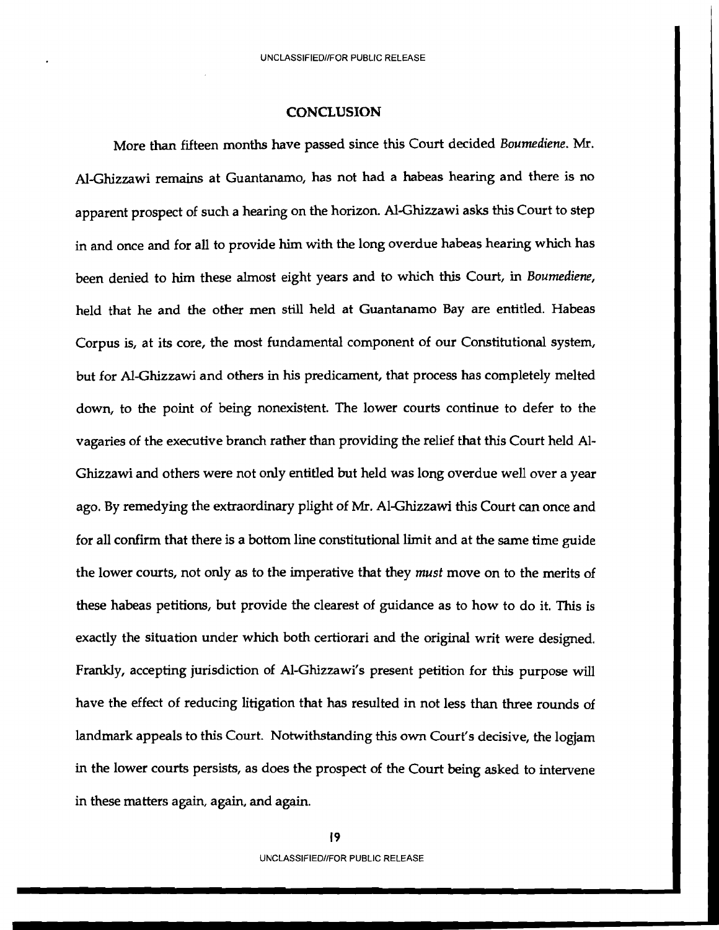#### CONCLUSION

More than fifteen months have passed since this Court decided *Boumediene.* Mr. Al-Ghizzawi remains at Guantanamo, has not had a habeas hearing and there is no apparent prospect of such a hearing on the horizon. Al-Ghizzawi asks this Court to step in and once and for all to provide him with the long overdue habeas hearing which has been denied to him these almost eight years and to which this Court, in *Boumediene,*  held that he and the other men still held at Guantanamo Bay are entitled. Habeas Corpus is, at its core, the most fundamental component of our Constitutional system, but for Al-Ghizzawi and others in his predicament, that process has completely melted down, to the point of being nonexistent. The lower courts continue to defer to the vagaries of the executive branch rather than providing the relief that this Court held Al-Ghizzawi and others were not only entitled but held was long overdue well over a year ago. By remedying the extraordinary plight of Mr. AI-Ghizzawi this Court can once and for all confirm that there is a bottom line constitutional limit and at the same time guide the lower courts, not only as to the imperative that they *must* move on to the merits of these habeas petitions, but provide the clearest of guidance as to how to do it. This is exactly the situation under which both certiorari and the original writ were designed. Frankly, accepting jurisdiction of AI-Ghizzawi's present petition for this purpose will have the effect of reducing litigation that has resulted in not less than three rounds of landmark appeals to this Court. Notwithstanding this own Court's decisive, the logjam in the lower courts persists, as does the prospect of the Court being asked to intervene in these matters again, again, and again.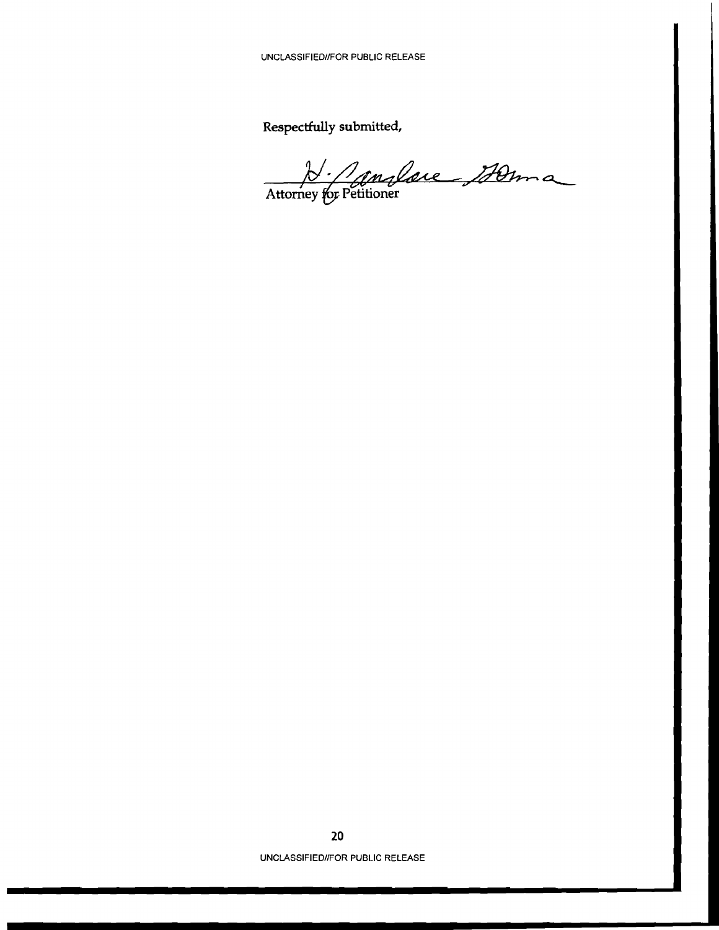**Respectfully submitted,** 

Attorney for Petitioner